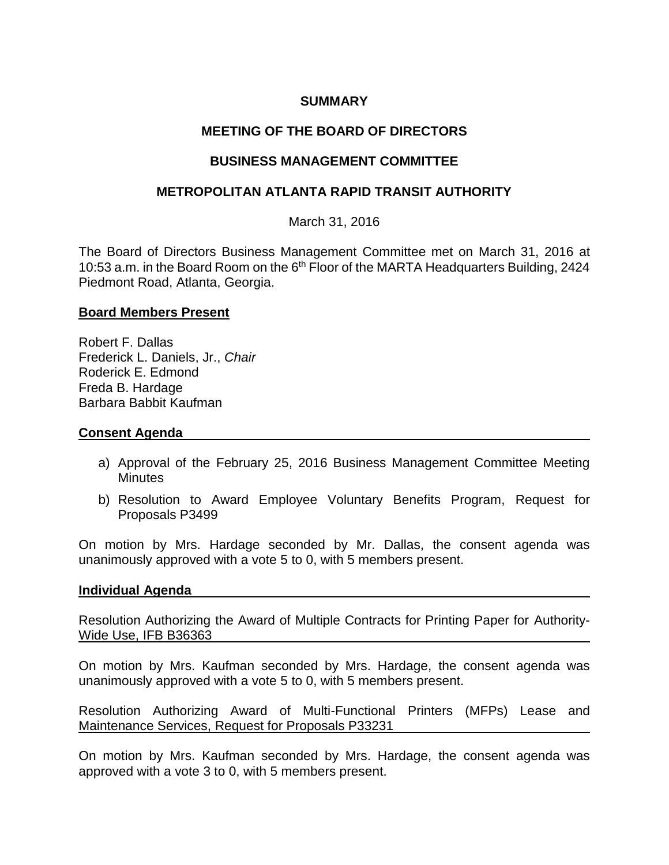## **SUMMARY**

# **MEETING OF THE BOARD OF DIRECTORS**

## **BUSINESS MANAGEMENT COMMITTEE**

## **METROPOLITAN ATLANTA RAPID TRANSIT AUTHORITY**

March 31, 2016

The Board of Directors Business Management Committee met on March 31, 2016 at 10:53 a.m. in the Board Room on the 6<sup>th</sup> Floor of the MARTA Headquarters Building, 2424 Piedmont Road, Atlanta, Georgia.

#### **Board Members Present**

Robert F. Dallas Frederick L. Daniels, Jr., *Chair* Roderick E. Edmond Freda B. Hardage Barbara Babbit Kaufman

#### **Consent Agenda**

- a) Approval of the February 25, 2016 Business Management Committee Meeting **Minutes**
- b) Resolution to Award Employee Voluntary Benefits Program, Request for Proposals P3499

On motion by Mrs. Hardage seconded by Mr. Dallas, the consent agenda was unanimously approved with a vote 5 to 0, with 5 members present.

#### **Individual Agenda**

Resolution Authorizing the Award of Multiple Contracts for Printing Paper for Authority-Wide Use, IFB B36363

On motion by Mrs. Kaufman seconded by Mrs. Hardage, the consent agenda was unanimously approved with a vote 5 to 0, with 5 members present.

Resolution Authorizing Award of Multi-Functional Printers (MFPs) Lease and Maintenance Services, Request for Proposals P33231

On motion by Mrs. Kaufman seconded by Mrs. Hardage, the consent agenda was approved with a vote 3 to 0, with 5 members present.